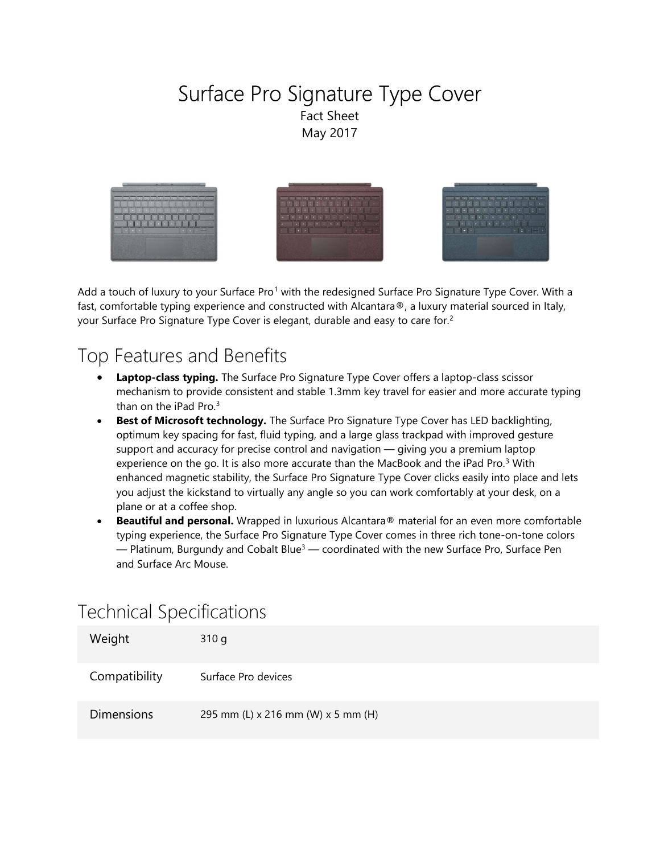### Surface Pro Signature Type Cover Fact Sheet May 2017



Add a touch of luxury to your Surface Pro<sup>1</sup> with the redesigned Surface Pro Signature Type Cover. With a fast, comfortable typing experience and constructed with Alcantara®, a luxury material sourced in Italy, your Surface Pro Signature Type Cover is elegant, durable and easy to care for.<sup>2</sup>

### Top Features and Benefits

- Laptop-class typing. The Surface Pro Signature Type Cover offers a laptop-class scissor mechanism to provide consistent and stable 1.3mm key travel for easier and more accurate typing than on the iPad Pro.<sup>3</sup>
- Best of Microsoft technology. The Surface Pro Signature Type Cover has LED backlighting, optimum key spacing for fast, fluid typing, and a large glass trackpad with improved gesture support and accuracy for precise control and navigation — giving you a premium laptop experience on the go. It is also more accurate than the MacBook and the iPad Pro. $3$  With enhanced magnetic stability, the Surface Pro Signature Type Cover clicks easily into place and lets you adjust the kickstand to virtually any angle so you can work comfortably at your desk, on a plane or at a coffee shop.
- Beautiful and personal. Wrapped in luxurious Alcantara® material for an even more comfortable typing experience, the Surface Pro Signature Type Cover comes in three rich tone-on-tone colors  $-$  Platinum, Burgundy and Cobalt Blue<sup>3</sup>  $-$  coordinated with the new Surface Pro, Surface Pen and Surface Arc Mouse.

# Technical Specifications

| Weight            | 310 g                              |
|-------------------|------------------------------------|
| Compatibility     | Surface Pro devices                |
| <b>Dimensions</b> | 295 mm (L) x 216 mm (W) x 5 mm (H) |